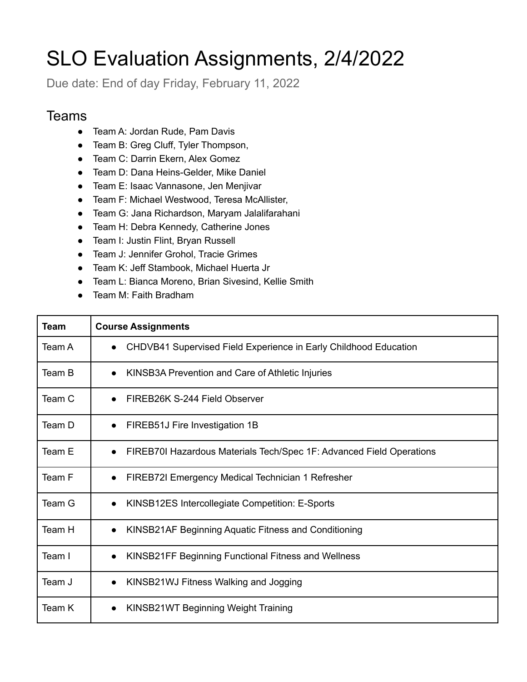## SLO Evaluation Assignments, 2/4/2022

Due date: End of day Friday, February 11, 2022

## **Teams**

- Team A: Jordan Rude, Pam Davis
- Team B: Greg Cluff, Tyler Thompson,
- Team C: Darrin Ekern, Alex Gomez
- Team D: Dana Heins-Gelder, Mike Daniel
- Team E: Isaac Vannasone, Jen Menjivar
- Team F: Michael Westwood, Teresa McAllister,
- Team G: Jana Richardson, Maryam Jalalifarahani
- Team H: Debra Kennedy, Catherine Jones
- Team I: Justin Flint, Bryan Russell
- Team J: Jennifer Grohol, Tracie Grimes
- Team K: Jeff Stambook, Michael Huerta Jr
- Team L: Bianca Moreno, Brian Sivesind, Kellie Smith
- Team M: Faith Bradham

| Team   | <b>Course Assignments</b>                                                         |
|--------|-----------------------------------------------------------------------------------|
| Team A | CHDVB41 Supervised Field Experience in Early Childhood Education                  |
| Team B | KINSB3A Prevention and Care of Athletic Injuries<br>$\bullet$                     |
| Team C | FIREB26K S-244 Field Observer<br>$\bullet$                                        |
| Team D | FIREB51J Fire Investigation 1B<br>$\bullet$                                       |
| Team E | FIREB70I Hazardous Materials Tech/Spec 1F: Advanced Field Operations<br>$\bullet$ |
| Team F | FIREB72I Emergency Medical Technician 1 Refresher<br>$\bullet$                    |
| Team G | KINSB12ES Intercollegiate Competition: E-Sports<br>$\bullet$                      |
| Team H | KINSB21AF Beginning Aquatic Fitness and Conditioning<br>$\bullet$                 |
| Team I | KINSB21FF Beginning Functional Fitness and Wellness<br>$\bullet$                  |
| Team J | KINSB21WJ Fitness Walking and Jogging<br>$\bullet$                                |
| Team K | KINSB21WT Beginning Weight Training<br>$\bullet$                                  |